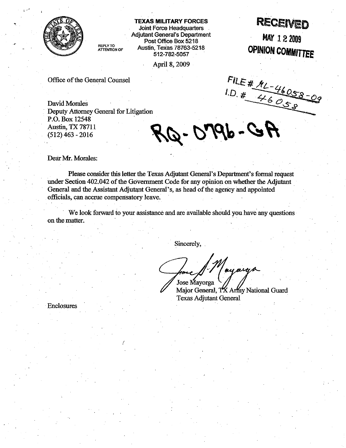

**TEXAS MILITARY FORCES** 

Adjutant General's Department<br>
REPLY TO<br>
ATTENTION OF AUStin, Texas 78763-5218<br>
F12.782.5057 **Post Office Box 5218**<br>ATTENTION OF **AUSTIN, Texas 78763-5218** 

April 8,2009

# EXAS MILITARY FORCES<br>Joint Force Headquarters **RECEIVED**

**MAY** 1 **2 <sup>2009</sup> F** Texas 78763-5218 **DPINION COMMITTEE** 

. .

Office of the General Counsel

FILE # ML-46058-09<br>1.D. # 46058-09

David Morales Deputy Attorney General for Litigation P.O. Box 12548 Austin, **TX** 7871 1 (512) 463 - 2016

 $-0.198 - GH$ 

Dear Mr. Morales:

Please consider this letter the Texas Adjutant General's Department's formal request under Section 402.042 of the Government Code for any opinion on whether the Adjutant General and the Assistant Adjutant General's, as head of the agency and appointed officials, can accrue compensatory leave.

We look forward to your assistance and are available should you have any questions on the matter.

Sincerely,

ey orga Jose Mavorga

Major General, TX Army National Guard Texas Adiutant General

Enclosures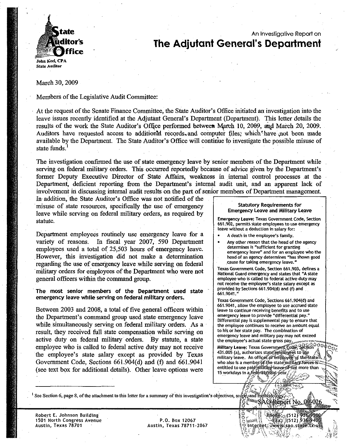

## An Investigative Report on **The Adjutant General's Department**

March 30,2009

Members of the Legislative Audit Committee:

At the request of the Senate Finance Committee, the State Auditor's Office initiated an investigation into the leave issues recently identified at the Adjutant General's Department (Department). This letter details the results of the work the State Auditor's Office performed between March 10, 2009, and March 20, 2009. Auditors have requested access to additional records, and computer files; which have not been made available by the Department. The State Auditor's Office will continue to investigate the possible misuse of state funds.'

The investigation confirmed the use of state emergency leave by senior members of the Department while serving on federal military orders. This occurred reportedly because of advice given by the Department's former Deputy Executive Director of State' Affairs, weakness in internal control processes at the Department, deficient reporting from the Department's internal audit unit, and an apparent lack of involvement in discussing internal audit results on the part of senior members of Department management.

In addition, the State Auditor's Office was not notified of the misuse of state resources, specifically the use of emergency leave while serving on federal military orders, as required by statute. **Emergency Leave: Texas Government Code, Section 661.902, permits state employees to use emergency** 

Department employees routinely use emergency leave for a variety of reasons. In fiscal year 2007, 590 Department employees used a total of 25,503 hours of emergency leave. However, this investigation did not make a determination regarding the use of emergency leave while serving on federal military orders for employees of the Department who were not general officers within the command group.

The most senior members of the Department used state emergency leave while serving on federal military orders.

Between 2003 and 2008, a total of five general officers within the Department's command group used state emergency leave while simultaneously serving on federal military orders. As a result, they received full state compensation while serving on active duty on federal military orders. By statute, a state employee who is called to federal active duty may not receive the employee's state salary except as provided by Texas Government Code, Sections 661.904(d) and (f) and 661.9041 (see text box for additional details). Other leave options were

### **Statutory Requirements for Emergency Leave and Military Leave**

**leave without a deduction in salary for:** 

- A death in the employee's family.
- Any other reason that the head of the agency determines is "sufficient for granting
	- emergency leave" and for an employee who the head of an agency determines "has shown good cause for taking emergency leave."

Texas Government Code, Section 661.903, defines a National Guard emergency and states that "A state employee who is called to federal active duty may not receive the employee's state salary except as provided by Sections 661,904(d) and (f) and 661.9041.

**Texas Government Code, Sections 661.904(d) and 661.9041, allow the employee to use accrued state** leave to continue receiving benefits and to use emergency leave to provide "differential pay." Differential pay is supplemental pay to ensure that the employee continues to receive an amount equal to his or her state pay. The combination of emergency leave and military pay may not exceed the employee's actual state gross pay.

Military Leave: Texas Government, Code, Section 20 431.005 (a), authorizes state employées to use military leave. An officer or employee of the state who also is a member of the state military forces is: entitled to use paid military leave of not more than 15 workdays in a federal fiscal year.

> l<br>banský unterhet:

Rhoffe: 512) 936,9500  $\mathbb{E}[\mathbf{a}_{\mathbf{X}}]$  (512) 936-9406

' **See Section 6, page 8, of the attachment to this letter for a summary of this investigation's objectives,**  SAOREPOIT No.

**Robert E. Johnson Building 1501 North Congress Avenue** P.O. **Box 12067** 

**Austin, Texas 78701 Austin, Texas 78711-2067**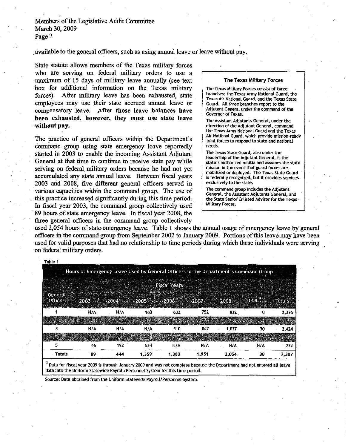available to the general officers, such as using annual leave or leave without pay.

State statute allows members of the Texas military forces who are serving on federal military orders to use a maximum of 15 days of military leave annually (see text box for additional information on the Texas military forces). Atter military leave has been exhausted, state employees may use their state accrued annual leave or compensatory leave. After those leave balances have been exhausted, however, they must use state leave without pay.

The practice of general officers within the Department's command group using state emergency leave reportedly started in **2003** to enable the incoming Assistant Adjutant General at that time to continue to receive state pay while serving on federal military orders because he had not yet accumulated any state annual leave. Between fiscal years **2003** and **2008,** five different general officers served in various capacities within the command group. The use of this practice increased stgnificantly during this time period. In fiscal year **2003,** the command group collectively used 89 hours of state emergency leave. In fiscal year **2008,** the three general officers in the command group collectively

#### The Texas Military Forces

The Texas Military Forces consist of three branches: the Texas Army National Guard, the Texas Air National Guard, and the Texas State Guard. All three branches report to the Adjutant General under the command of the Governor of Texas.

The Assistant Adjutants General, under the direction of the Adjutant General, command the Texas Army National Guard and the Texas Air National Guard, which provide mission-ready joint forces to respond to state and national needs.

The Texas State Guard, also under the leadership of the Adjutant General, is the state's authorized militia and assumes the state mission in the event that guard forces are mobilized or deployed. The Texas State Guard is federally recognized, but it provides services exclusively to the state.

The command group includes the Adjutant General, the Assistant Adjutants General, and the State Senior Enlisted Advisor for the Texas Military Forces.

used **2,054** hours of state emergency leave. Table 1 shows the annual usage of emergency leave by general officers in the command group from September **2002** to January **2009.** Portions of this leave may have been used for valid purposes that had no relationship to time periods during which these individuals were serving on federal military orders.

| Table 1                    |                                                                                     |          |          |                     |                                      |        |             |               |
|----------------------------|-------------------------------------------------------------------------------------|----------|----------|---------------------|--------------------------------------|--------|-------------|---------------|
|                            | Hours of Emergency Leave Used by General Officers in the Department's Command Group |          |          |                     |                                      |        |             |               |
|                            |                                                                                     |          |          | <b>Fiscal Years</b> |                                      |        |             |               |
| General<br><b>Officer:</b> | 2003                                                                                | 2004     | 2005     | 820063              | 2007                                 | 2008   | <b>2009</b> | <b>Totals</b> |
|                            | N/A                                                                                 | N/A      | 160      | 632                 | 752                                  | 832    | G           | 2,376         |
|                            |                                                                                     |          | 82       |                     | 3594                                 | W Sala |             |               |
|                            | N/A                                                                                 | N/A      | N/A      | 510                 | 847                                  | 1.037  | 30          | 2,424         |
|                            | <b>40-</b>                                                                          | 18787278 | st face. |                     | de la Pintera de la Internacia del C |        | a Katalonia | AUTAR S       |
| 5                          | 46                                                                                  | 192      | 534      | N/A                 | N/A                                  | N/A    | N/A         | 772           |
| Totals                     | 89                                                                                  | 444      | 1.359    | 1,380               | 1.951                                | 2.054  | 30          | 7.307         |

<sup>a</sup> Data for fiscal year 2009 is through January 2009 and was not complete because the Department had not entered all leave<br>data into the Uniform Statewide Payroll/Personnel System for this time period.

Source: Data obtained from the Uniform Statewide Payroll/Personnel System.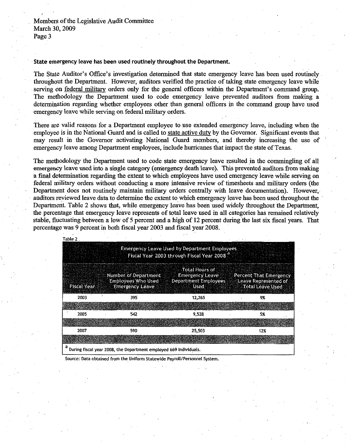### **State emergency leave has been used routinely throughout the Department.**

The State Auditor's Office's investigation determined that state emergency leave has been used routinely throughout the Department. However, auditors verified the practice of taking state emergency leave while serving on federal military orders only for the general officers within the Department's command group. The methodology the Department used to code emergency leave prevented auditors from making a determination regarding whether employees other than general officers in the command group have used emergency leave while serving on federal military orders.

There are valid reasons for a Department employee to use extended emergency leave, including when the employee is in the National Guard and is called to state active duty by the Governor. Significant events that may result in the Governor activating National Guard members, and thereby increasing the use of emergency leave among Department employees, include hurricanes that impact the state of Texas.

The methodology the Department used to code state emergency leave resulted in the commingling of all emergency leave used into a single category (emergency death leave). This prevented auditors from making a fmal determination regarding the extent to which employees have used emergency leave while serving on federal military orders without conducting a more intensive review of timesheets and military orders (the Department does not routinely maintain military orders centrally with leave documentation). However, auditors reviewed leave data to determine the extent to which emergency leave has been used throughout the Department. Table 2 shows that, while emergency leave has been used widely throughout the Department, the percentage that emergency leave represents of total leave used in all categories has remained relatively stable, fluctuating between a low of 5 percent and a high of 12 percent during the last six fiscal years. That percentage was 9 percent in both fiscal year 2003 and fiscal year 2008.

| Table 2                                                                                                       |                                                                             |                                                                                 |                                                                           |  |  |  |  |  |  |  |  |
|---------------------------------------------------------------------------------------------------------------|-----------------------------------------------------------------------------|---------------------------------------------------------------------------------|---------------------------------------------------------------------------|--|--|--|--|--|--|--|--|
| <b>Emergency Leave Used by Department Employees</b><br>Fiscal Year 2003 through Fiscal Year 2008 <sup>8</sup> |                                                                             |                                                                                 |                                                                           |  |  |  |  |  |  |  |  |
|                                                                                                               |                                                                             |                                                                                 |                                                                           |  |  |  |  |  |  |  |  |
| Fiscal Year                                                                                                   | Number of Department<br><b>Employees Who Used</b><br><b>Emergency Leave</b> | Total Hours of<br><b>Emergency Leave</b><br>Department Employees<br><b>Used</b> | Percent That Emergency<br>Leave Represented of<br><b>Total Leave Used</b> |  |  |  |  |  |  |  |  |
| 2003                                                                                                          | 395                                                                         | 12,265                                                                          | 9%                                                                        |  |  |  |  |  |  |  |  |
| 2004                                                                                                          |                                                                             | 39. NES                                                                         |                                                                           |  |  |  |  |  |  |  |  |
| 2005                                                                                                          | 542                                                                         | 9,528                                                                           | 5%                                                                        |  |  |  |  |  |  |  |  |
| <b>246.014.18</b>                                                                                             |                                                                             | <b>SAMOLLS</b>                                                                  | 3 OS 3                                                                    |  |  |  |  |  |  |  |  |
| 2007                                                                                                          | 590                                                                         | 25,503                                                                          | 12%                                                                       |  |  |  |  |  |  |  |  |
| 2008                                                                                                          | IS 78                                                                       | <b>Avezuel</b>                                                                  | CD                                                                        |  |  |  |  |  |  |  |  |
| During fiscal year 2008, the Department employed 669 individuals.                                             |                                                                             |                                                                                 |                                                                           |  |  |  |  |  |  |  |  |

Source: Data obtained from the Uniform Statewide Payroll/Personnel System.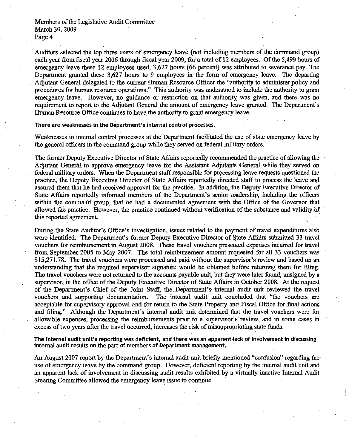Auditors selected the top three users of emergency leave (not including members of the command group) each year from fiscal year **2006** through fiscal year **2009,** for a total of **12** employees. Of the **5,499** hours of emergency leave these **12** employees used, **3,627** hours **(66** percent) was attributed to severance pay. The Department granted these **3,627** hours to **9** employees in the form of emergency leave. The departing Adjutant General delegated to the current Human Resource Officer the "authority to administer policy and procedures for human resource operations." This authority was understood to include the authority to grant emergency leave. However, no guidance or restriction on that authority was given, and there was no requirement to report to the Adjutant General the amount of emergency leave granted. The Department's Human Resource Office continues to have the authority to grant emergency leave.

**There are weaknesses in the Department's internal control processes.** 

Weaknesses in internal control processes at the Department facilitated the use of state emergency leave by the general officers in the command group while they served on federal military orders.

The former Deputy Executive Director of State Affairs reportedly recommended the practice of allowing the Adjutant General to approve emergency leave for the Assistant Adjutants General while they served on federal military orders. When the Department staff responsible for processing leave requests questioned the practice, the Deputy Executive Director of State Affairs reportedly directed staff to process the leave and assured them that he had received approval for the practice. In addition, the Deputy Executive Director of State Affiirs reportedly informed members of the Department's senior leadership, including the officers within the command group, that he had a documented agreement with the Office of the Governor that allowed the practice. However, the practice continued without verification of the substance and validity of this reported agreement.

During the State Auditor's Office's investigation, issues related to the payment of travel expenditures also were identified. The Department's former Deputy Executive Director of State Affairs submitted **33** travel vouchers for reimbursement in August **2008.** These travel vouchers presented expenses incurred for travel from September **2005** to May **2007.** The total reimbursement amount requested for all **33** vouchers was **\$15,271.78.** The travel vouchers were processed and paid without the supervisor's review and based on an understanding that the required supervisor signature would be obtained before returning them for filing. The travel vouchers were not returned to the accounts payable unit, but they were later found, unsigned by a supervisor, in the oflice of the Deputy Executive Director of State Affairs in October **2008.** At the request of the Department's Chief of the Joint Staff, the Department's internal audit unit reviewed the travel vouchers and supporting documentation. The internal audit unit concluded that "the vouchers are acceptable for supervisory approval and for return to the State Property and Fiscal Office for final actions and filing." Although the Department's internal audit unit determined that the travel vouchers were for allowable expenses, processing the reimbursements prior to a supervisor's review, and in some cases in excess of two years after the travel occurred, increases the risk of misappropriating state funds.

**The internal audit unit's reporting was deficient, and there was an apparent lack of involvement in discussing internal audit results on the part of members of Department management.** 

**An** August **2007** report by the Department's internal audit unit briefly mentioned ''confusion" regarding the use of emergency leave by the command group. However, deficient reporting by the internal audit unit and an apparent lack of involvement in discussing audit results exhibited by a virtually inactive Internal Audit Steering Committee allowed the emergency leave issue to continue.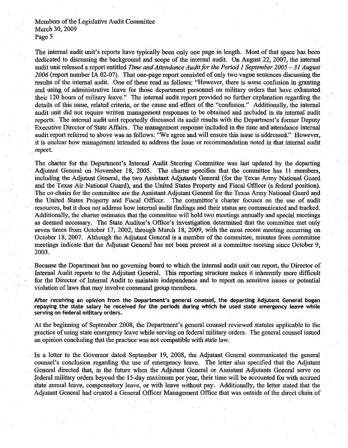The internal audit unit's reports have typically been only one page in length. Most of that space has been dedicated to discussing the background and scope of the internal audit. On August 22, 2007, the internal audit unit released a report entitled *Time and Attendance Audit for the Period 1 September 2005 – 31 August 2006* (report number **IA** 02-07). That one-page report consisted of only two vague sentences discussing the results of the internal audit. One of these read as follows: "However, there is some confusion in granting and using of administrative leave for those department personnel on military orders that have exhausted their 120 hours of military leave." The internal audit report provided no further explanation regarding the details of this issue, related criteria, or the cause and effect of the "confusion." Additionally, the internal audit unit did not require written management responses to be obtained and included in its internal audit reports. The internal audit unit reportedly discussed its audit results with the Department's former Deputy Executive Director of State Affairs. The management response included in the time and attendance internal audit report referred to above was as follows: "We agree and will ensure this issue is addressed." However, it is unclear how management intended to address the issue or recommendation noted in that internal audit report.

The charter for the Department's Internal Audit Steering Committee was last updated by the departing Adjutant General on November 18, 2005. The charter specifies that the committee has 11 members, including the Adjutant General, the two Assistant Adjutants General (for the Texas Army National Guard and the Texas Air National Guard), and the United States Property and Fiscal Officer (a federal position). The co-chairs for the committee are the Assistant Adjutant General for the Texas Army National Guard and the United States Property and Fiscal Officer. The committee's charter focuses on the use of audit resources, but it does not address how internal audit findings and their status are communicated and tracked. Additionally, the charter estimates that the committee will hold two meetings annually and special meetings as deemed necessary. The State Auditor's Office's investigation determined that the committee met only seven times from October 17, 2002, through March 18, 2009, with the most recent meeting occurring on October 18, 2007. Although the Adjutant General is a member of the committee, minutes from committee meetings indicate that the Adjutant General has not been present at a committee meeting since October 9, 2003.

Because the Department has no governing board to which the internal audit unit can report, the Director of Internal Audit reports to the Adjutant General. This reporting structure makes it inherently more difficult for the Director of Internal Audit to maintain independence and to report on sensitive issues or potential violation of laws that may involve command group members.

**After receiving an opinion from the Department's general counsel, the departing Adjutant General began repaying the state salary he received for the periods during which he used state emergency leave while serving on federal military orders.** 

At the beginning of September 2008, the Department's general counsel reviewed statutes applicable to the practice of using state emergency leave while serving on federal military orders. The general counsel issued an opinion concluding that the practice was not compatible with state law.

In a letter to the Governor dated September 19, 2008, the Adjutant General communicated the general counsel's conclusion regarding the use of emergency leave. The letter also specified that the Adjutant General directed that, in the future when the Adjutant General or Assistant Adjutants General serve on federal military orders beyond the 15-day maximum per year, their time will be accounted for with accrued state annual leave, compensatory leave, or with leave without pay. Additionally, the letter stated that the Adjutant General had created a General Officer Management Office that was outside of the direct chain of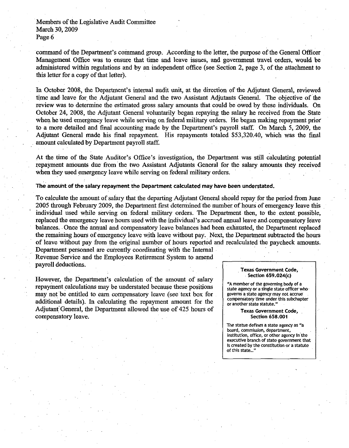command of the Department's command group. According to the letter, the purpose of the General Officer Management Office was to ensure that time and leave issues, and government travel orders, would be administered within regulations and by an independent office (see Section **2,** page **3,** of the attachment to this letter for a copy of that letter).

In October **2008,** the Department's internal audit unit, at the direction of the Adjutant General, reviewed time and leave for the Adjutant General and the two Assistant Adjutants General. The objective of the review was to determine the estimated gross salary amounts that could be owed by these individuals. On October **24, 2008,** the Adjutant General voluntarily began repaying the salary he received from the State when he used emergency leave while serving on federal military orders. He began making repayment prior to a more detailed and final accounting made by the Department's payroll staff. On March **5, 2009,** the Adjutant General made his fmal repayment. His repayments totaled **\$53,320.40,** which was the final amount calculated by Department payroll staff.

At the time of the State Auditor's Office's investigation, the Department was still calculating potential repayment amounts due from the two Assistant Adjutants General for the salary amounts they received when they used emergency leave while serving on federal military orders.

**The amount of the salary repayment the Department calculated may have been understated.** 

To calculate the amount of salary that the departing Adjutant General should repay for the period from June **2005** through February **2009,** the Department first determined the number of hours of emergency leave this individual used while serving on federal military orders. The Department then, to the extent possible, replaced the emergency leave hours used with the individual's accrued annual leave and compensatory leave balances. Once the annual and compensatory leave balances had been exhausted, the Department replaced the remaining hours of emergency leave with leave without pay. Next, the Department subtracted the hours of leave without pay from the original number of hours reported and recalculated the paycheck amounts.

Department personnel are currently coordinating with the Internal Revenue Service and the Employees Retirement System to amend payroll deductions.

However, the Department's calculation of the amount of salary repayment calculations may be understated because these positions may not be entitled to earn compensatory leave (see text box for additional details). In calculating the repayment amount for the Adjutant'General, the Department allowed the use of **425** hours of compensatory leave.

#### **Texas Government Code, Section 659.024(c)**

**"A member of the governing body of a state asency or a single state officer who governs a state agency may not accrue' compensatory time under this subchapter or another state statute."** 

> **Texas Government Code, Section 658.001**

**The statue defines a state agency as "a board, commission, department,**  institution, office, or other agency in the **executive branch of stategovernment that is created by the constitution or a statute**  of this state...'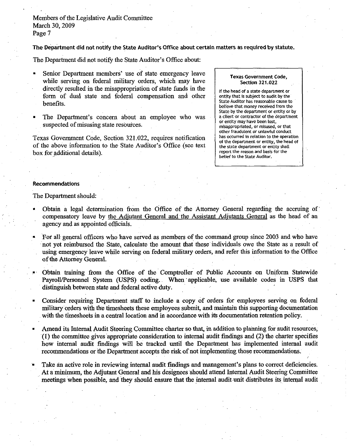The Department did not notify the State Auditor's Office about certain matters as required **by** statute.

The Department did not notify the State Auditor's Office about:

- Senior Department members' use of state emergency leave while serving on federal military orders, which may have directly resulted in the misappropriation of state funds in the fom of dual state and federal compensation and other benefits.
- The Department's concern about an employee who was suspected of misusing state resources.

Texas Government Code, Section 321.022, requires notification of the above information to the State Auditor's Office (see text box for additional details).

### **Texas Government Code, Section 321.022**

**If the head of a state department or entity that is subject to audit by the State Auditor has reasonable cause to believe that money received from the State by the department or entity or by a client or contractor of the department or entity may have been lost, misappropriated, or misused, or that other fraudulent or unlawful conduct has occurred in relation to the operation of the department or entity, the head of the state department or entity shall report the reason and basis for the belief to the State Auditor.** 

### Recommendations

The Department should:

- Obtain a legal determination from the Office of the Attorney General regarding the accruing of compensatory leave by the Adjutant General and the Assistant Adiutants General as the head of an agency and as appointed officials.
- For all general officers who have served as members of the command group since 2003 and who have not yet reimbursed the State, calculate the amount that these individuals owe the State as a result of using emergency leave while serving on federal military orders, and refer this information to the Office of the Attorney General.
- Obtain training from the Office of the Comptroller of Public Accounts on Uniform Statewide Payroll/Personnel System (USPS) coding. When 'applicable, use available codes in USPS that distinguish between state and federal active duty.
- Consider requiring Department staff to include a copy of orders for employees serving on federal military orders with the timesheets these employees submit, and maintain this supporting documentation with the timesheets in a central location and in accordance with its documentation retention policy.
- Amend its Internal Audit Steering Committee charter so that, in addition to planning for audit resources, **(1)** the committee gives appropriate consideration to internal audit findings and (2) the charter specifies how internal audit findings will be tracked until the Department has implemented internal audit recommendations or the Department accepts the risk of not implementing those recommendations.
- Take an active role in reviewing internal audit findings and management's plans to correct deficiencies. At a minimum, the Adjutant General and his designees should attend Internal Audit Steering Committee meetings when possible, and they should ensure that the internal audit unit distributes its internal audit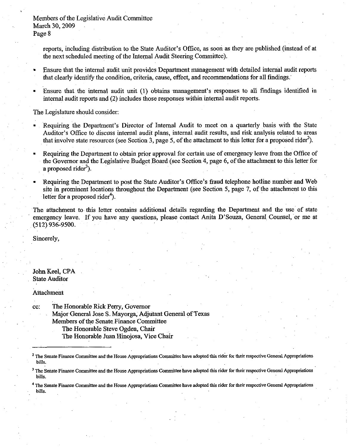reports, including distribution to the State Auditor's Office, as soon as they are published (instead of at the next scheduled meeting of the Internal Audit Steering Committee).

- Ensure that the internal audit unit provides Department management with detailed internal audit reports that clearly identify the condition, criteria, cause, effect, and recommendations for all findings.
- Ensure that the internal audit unit (1) obtains management's responses to all findings identified in internal audit reports and (2) includes those responses within internal audit reports.

The Legislature should consider:

- Requiring the Department's Director of Internal Audit to meet on a quarterly basis with the State Auditor's Office to discuss internal audit plans, internal audit results, and risk analysis related to areas that involve state resources (see Section **3,** page 5, of the attachment to this letter for a proposed ride?).
- Requiring the Department to obtain prior approval for certain use of emergency leave from the Office of the Governor and the Legislative Budget Board (see Section 4, page *6,* of the attachment to this letter for a proposed rider<sup>3</sup>).
- Requiring the Department to post the State Auditor's Office's fraud telephone hotline number and Web site in prominent locations throughout the Department (see Section 5, page 7, of the attachment to this letter for a proposed rider<sup>4</sup>).

The attachment to this letter contains additional details regarding the Department and the use of state emergency leave. If you have any questions, please contact Anita D'Souza, General Counsel, or me at **(512) 936-9500.** 

Sincerely,

John Keel, CPA State Auditor

Attachment

cc: The Honorable Rick Perry, Governor Major General Jose S. Mayorga, Adjutant General of Texas Members of the Senate Finance Committee The Honorable Steve Ogden, Chair The Honorable Juan Hinojosa, Vice Chair

**The Senate Finance Committee and the House Appropriations Committee have adopted this rider for their respective General Appropriations bills.** 

**<sup>&#</sup>x27;The Senate Finance Committee and the House Appropriations Committee have adopted this rider for their respective General Appropriations bills.** 

**The Senate Finance Committee and the House Appropriations Committee have adopted this rider for their respective General Appropriations bills.**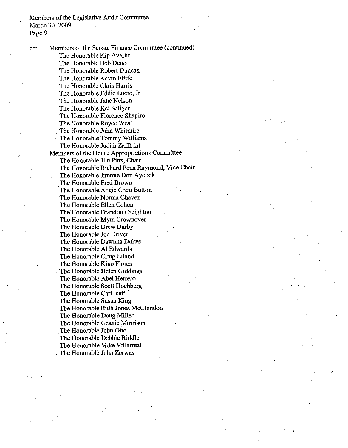cc: Members of the Senate Finance Committee (continued) The Honorable Kip Averitt The Honorable Bob Deuell The Honorable Robert Duncan The Honorable Kevin Eltife The Honorable Chris Harris The Honorable Eddie Lucio, Jr. The Honorable Jane Nelson The Honorable Kel Seliger The Honorable Florence Shapiro The Honorable Royce West The Honorable John Whitmire The Honorable Tommy Williams The Honorable Judith Zaffirini Members of the House Appropriations Committee The Honorable Jim Pitts, Chair The Honorable Richard Pena Raymond, Vice Chair The Honorable Jimmie Don Aycock The Honorable Fred Brown The Honorable Angie Chen Button The Honorable Norma Chavez The Honorable Ellen Cohen The Honorable Brandon Creighton The Honorable Myra Crownover The Honorable Drew Darby The Honorable Joe Driver The Honorable Dawnna Dukes The Honorable A1 Edwards The Honorable Craig Eiland The Honorable Kino Flores The Honorable Helen Giddimgs The Honorable Abel Herrero The Honorable Scott Hochberg The Honorable Carl Isett The Honorable Susan King The Honorable Ruth Jones McClendon The Honorable Doug Miller The Honorable Geanie Morrison The Honorable John Otto The Honorable Debbie Riddle The Honorable Mike Villarreal The Honorable John Zerwas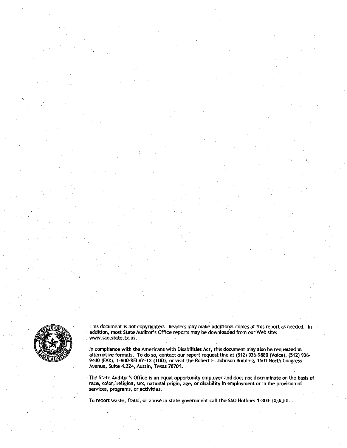

This document is not copyrighted. Readers may make additional copies of this report as needed. In addition, most State Auditor's Office reports may be downloaded from our Web site: www.sao.state.tx.us.

In compliance with the Americans with Disabilities Act, this document may also be requested in alternative formats. To do so, contact our report request line at (512) 936-9880 (Voice), (512) 936- 9400 (FAX), 1-800-RELAY-TX **UDD),** or visit the Robert **E.** Johnson Building, 1501 North Congress Avenue, Suite 4.224, Austin, Texas 78701.

The State Auditor's Office is an equal opportunity employer and does not discriminate on the basis of race, color, religion, sex, national origin, age, or disability in employment or in the provision of services, programs, or activities.

To report waste, fraud, or abuse in state government call the SAO Hotline: 1-800-TX-AUDIT.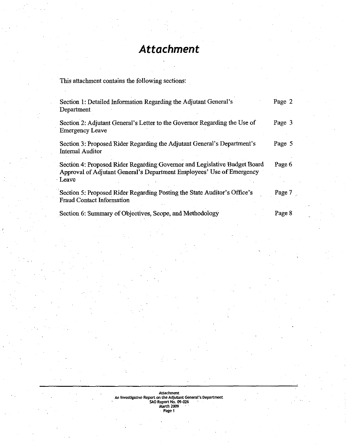# *Attachment*

This attachment contains the following sections:

| Section 1: Detailed Information Regarding the Adjutant General's<br>Department                                                                              | Page 2 |
|-------------------------------------------------------------------------------------------------------------------------------------------------------------|--------|
| Section 2: Adjutant General's Letter to the Governor Regarding the Use of<br><b>Emergency Leave</b>                                                         | Page 3 |
| Section 3: Proposed Rider Regarding the Adjutant General's Department's<br><b>Internal Auditor</b>                                                          | Page 5 |
| Section 4: Proposed Rider Regarding Governor and Legislative Budget Board<br>Approval of Adjutant General's Department Employees' Use of Emergency<br>Leave | Page 6 |
| Section 5: Proposed Rider Regarding Posting the State Auditor's Office's<br><b>Fraud Contact Information</b>                                                | Page 7 |
| Section 6: Summary of Objectives, Scope, and Methodology                                                                                                    | Page 8 |

Attachment<br> **An Investigative Report on the Adjutant General's Department<br>
<b>SAO Report No. 09-026<br>
<b>March 2009**<br>Page 1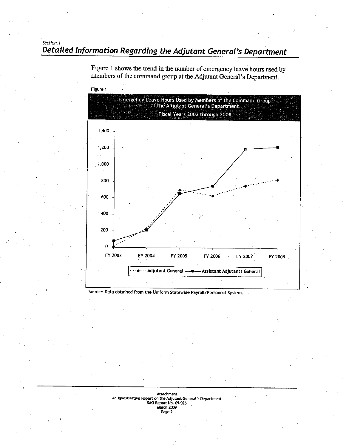## **Section 1 Detailed Information Regarding the Adjutant General's Department**



Figure 1 shows the trend in the number of emergency leave hours used by **members of the command group at the Adjutant General's Department.** 

Source: Data obtained from the Uniform Statewide Payroll/Personnel System.

## **Attachment An lnvestigahve Repat on the Adjutant Genwal'r Department SAO Rept the Adjutant Gene<br>port No. 09-026<br>arch 2009<br>Page 2**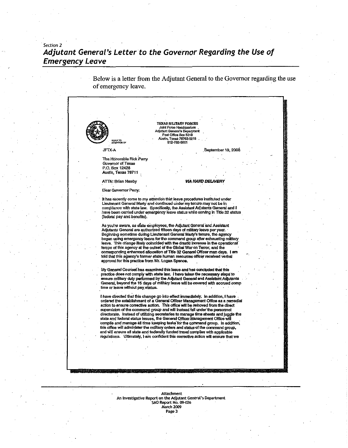## **Section 2 Adjutant General's Letter to the Governor Regarding the Use of Emergency Leave**

Below is a letter from the Adjutant General to the Govemor regarding the use of emergency leave.

TEXAS MILITARY FORCES<br>Joint Force Headquarters **adjutant General's Department**<br>Adjutant General's Department<br>Post Office Box 5218 **R&sL"TO** . AiSUhTW7876W18 . .' **mw 512-7826Wl**  JFTX-A **September** 19,2008 **The Honorable Rick Perry**<br>Governor of Texas P.O. Box 12428 Austh, **Texas 7871 1** . . **ATTN:** Brian **Newby VIA HAND DELIVERY Dear** Govemor Perry: It has recently come to my attention that leave procedures instituted under Lieutenant General Marty and continued under my tenure may not be in complianw **with state** law. SpedkaEy, Its Assistent **Adlutants** Genera **and** I have been carried under emetgeny **kve status** while servlng **in Tilie** 32 sfatus (federal pay and benefits). As you're aware, as state employees, the Adjutant General and Assistant<br>Adjutants General are authorized fifteen days of military leave per year. Beginning sometime dvting Ueuteoant Geneml Marly's tenure, the **agency**  began using emergency leave for the command group after exhausting military leave. This change likely coincided with the drastic increase in the operational tempo of this agency at the outset of the Global War on Terror, and the corresponding enhanced allocation of Title 32 General Officer man day appmvaltar **ths pracllce fmm** Mr. Logan **Spw.** , My General Courisel has examined this issue and has concluded that this<br>practice does not comply with state law. I have taken the necessary steps to<br>ensure military duty performed by the Adjutant General and Assistant Adju **I** have directed that this change go into effect immediately. In addition, I have<br>ordered the establishment of a General Officer Management Office as a remedial action to ensure corrective action. This office will be removed from the direct supervision of the command group and will instead fall under the personnel directorate. Instead of utilizing secretaries to manage time aheets and luggle the<br>state and federal status Issues, the General Officer Management Office will compile and manage all time keeping tasks for the command group. In addition. this office will administer the military orders and status of the command group, and will ensure all state and federally funded travel complies with applicable regulnlons UltlmaW. **I am** mrfident **ths mnemve action** wll ensure **mat** we Attachment An lnvestisative **Repart** an the Adjutant General's Department **-0 Repart** No. **83-026** 

March 2009<br>Page 3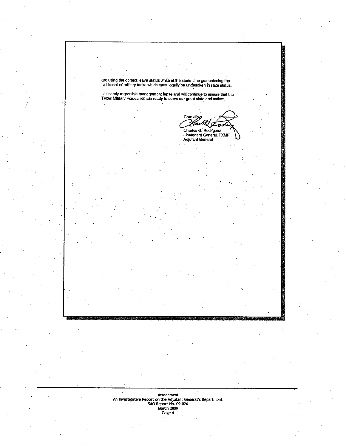are using the correct leave status while at the same time guaranteeing the<br>fulfillment of military tasks which must legally be undertaken in state status.

I sincerely regret this management lapse and will continue to ensure that the<br>Texas Military Forces remain ready to serve our great state and nation.

Cordialty روب Charles G. Rodriguez<br>Lieutenant General, TXMF<br>Adjutant General

**Attachment An Investigative Repwt on tk Adjutant Gmeal's Department SAO Recart No. W-026**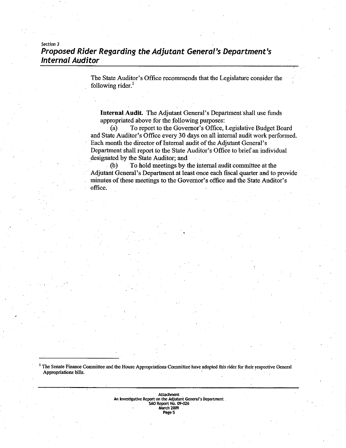## **Section 3 Proposed Rider Regarding the Adjutant General's Department's Internal Auditor**

The State Auditor's Office recommends that the Legislature consider the following rider.<sup>1</sup>

**Internal Audit.** The Adjutant General's Department shall use funds appropriated above for the following purposes:

(a) To report to the Governor's Office, Legislative Budget Board and State Auditor's Office every **30** days on all internal audit work performed. Each month the director of Internal audit of the Adjutant General's Department shall report to the State Auditor's Office to brief an individual designated by the State Auditor; **and** 

**(b)** To hold meetings by the internal audit committee at the Adjutant General's Department at least once each fiscal quarter and to provide minutes of these meetings to the Governor's office and the State Auditor's office.

<sup>1</sup> The Senate Finance Committee and the House Appropriations Committee have adopted this rider for their respective General **Appropriations bills.** 

> **Attachment** An Investigative Report on the Adjutant General's Department SAO Report No. 09-026<br>March 2009 Page 5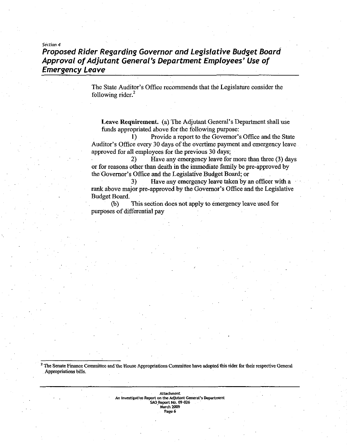## **Section 4 Proposed Rider Regarding Governor and Legislative Budget Board Approval of Adjutant General's Department Employees' Use of Emergency Leave**

The State Auditor's Office recommends that the Legislature consider the following rider.<sup>2</sup>

**Leave Requirement.** (a) The Adjutant General's Department shall use funds appropriated above for the following purpose:

1) Provide a report to the Governor's Office and the State Auditor's Office every 30 days of the overtime payment and emergency leave approved for all employees for the previous **30** days;

2) Have any emergency leave for more than three (3) days or for reasons other than death in the immediate family be pre-approved by the Governor's Office and the Legislative Budget **Board;** or

**3)** Have any emergency leave taken by an officer with a **rank** above major pre-approved by the Governor's Office and the Legislative Budget Board.

**(b)** This section does not apply to emergency leave used for purposes of differential pay

**The SenateFinance Committee and** the **House Appmpriations Committee have adopted this rider for their respective General Appropriations hills.** 

> **Attachment An lnv431ative Report on fhe Adjutant GeneraI'r Department SAO Report No. 09-026 rn 1009**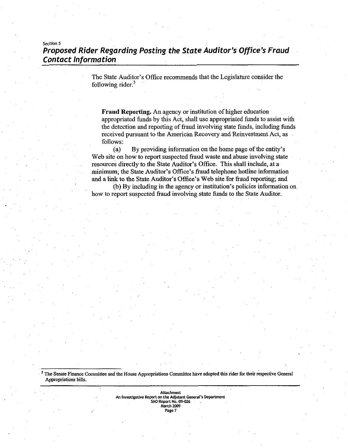## **sectron 5 Proposed Rider Regarding Posting the State Auditor's Office's Fraud Contact Information**

The State Auditor's Office recommends that the Legislature consider the following rider. $3$ 

**Fraud Reporting.** An agency or institution of higher education appropriated funds by this Act, shall use appropriated funds to assist with the detection and reporting of fraud involving state funds, including funds received pursuant to the American Recovery **and** Reinvestment Act, as follows:

(a) By providing information on the home page of the entity's Web site on how to report suspected fraud waste and abuse involving state resources directly to the State Auditor's Office. This shall include, at a minimum, the State Auditor's Office's fiaud telephone hotlime information and a link to the State Auditor's Office's Web site for fraud reporting; and

(b) By including in the agency or institution's policies information on how to report suspected fiaud involving state **funds** to the State Auditor.

<sup>3</sup> The Senate Finance Committee and the House Appropriations Committee have adopted this rider for their respective General **Appropriations bills.** 

> **Attachment to lnvmgative Report on the Adjutant General's Department SAO Report w. W-07.6 March 2033 page 7**